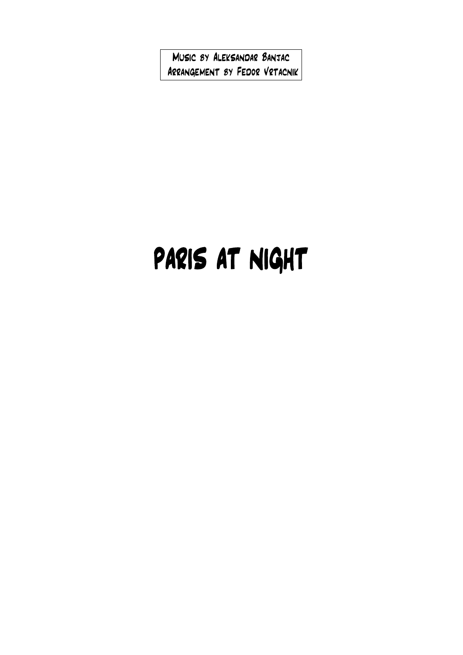Music by Aleksandar Banjac Arrangement by Fedor Vrtacnik

## PARIS AT NIGHT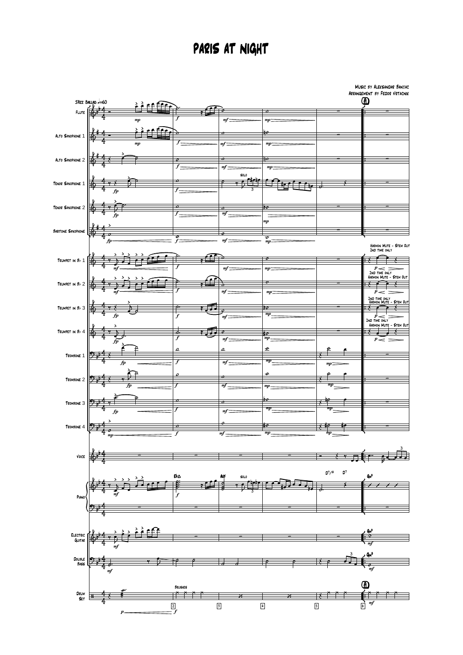## PARIS AT NIGHT